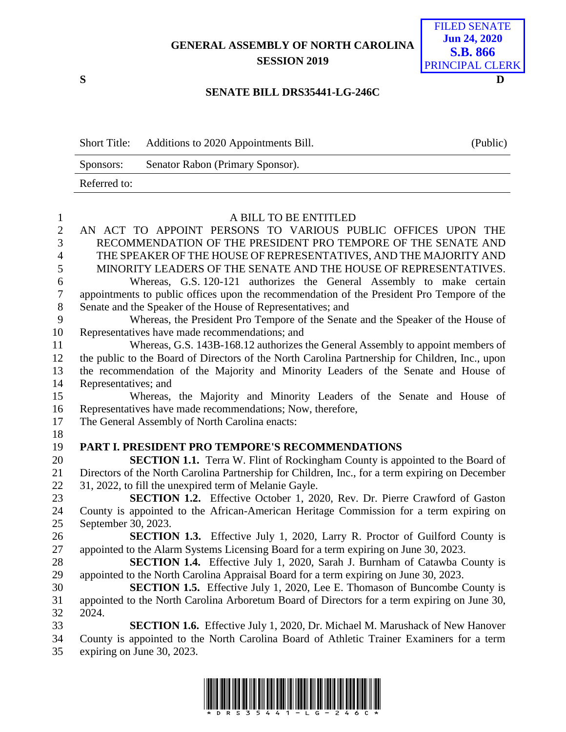## **GENERAL ASSEMBLY OF NORTH CAROLINA SESSION 2019**



FILED SENATE

**S D**

## **SENATE BILL DRS35441-LG-246C**

| <b>Short Title:</b> | Additions to 2020 Appointments Bill. | (Public) |
|---------------------|--------------------------------------|----------|
| Sponsors:           | Senator Rabon (Primary Sponsor).     |          |
| Referred to:        |                                      |          |

| $\mathbf{1}$     | A BILL TO BE ENTITLED                                                                                                  |
|------------------|------------------------------------------------------------------------------------------------------------------------|
| $\overline{2}$   | AN ACT TO APPOINT PERSONS TO VARIOUS PUBLIC OFFICES UPON THE                                                           |
| $\overline{3}$   | RECOMMENDATION OF THE PRESIDENT PRO TEMPORE OF THE SENATE AND                                                          |
| $\overline{4}$   | THE SPEAKER OF THE HOUSE OF REPRESENTATIVES, AND THE MAJORITY AND                                                      |
| 5                | MINORITY LEADERS OF THE SENATE AND THE HOUSE OF REPRESENTATIVES.                                                       |
| 6                | Whereas, G.S. 120-121 authorizes the General Assembly to make certain                                                  |
| $\boldsymbol{7}$ | appointments to public offices upon the recommendation of the President Pro Tempore of the                             |
| $8\,$            | Senate and the Speaker of the House of Representatives; and                                                            |
| 9                | Whereas, the President Pro Tempore of the Senate and the Speaker of the House of                                       |
| 10               | Representatives have made recommendations; and                                                                         |
| 11               | Whereas, G.S. 143B-168.12 authorizes the General Assembly to appoint members of                                        |
| 12               | the public to the Board of Directors of the North Carolina Partnership for Children, Inc., upon                        |
| 13               | the recommendation of the Majority and Minority Leaders of the Senate and House of                                     |
| 14               | Representatives; and                                                                                                   |
| 15               | Whereas, the Majority and Minority Leaders of the Senate and House of                                                  |
| 16               | Representatives have made recommendations; Now, therefore,                                                             |
| 17               | The General Assembly of North Carolina enacts:                                                                         |
|                  |                                                                                                                        |
| 18               |                                                                                                                        |
| 19               | PART I. PRESIDENT PRO TEMPORE'S RECOMMENDATIONS                                                                        |
| 20               | SECTION 1.1. Terra W. Flint of Rockingham County is appointed to the Board of                                          |
| 21               | Directors of the North Carolina Partnership for Children, Inc., for a term expiring on December                        |
| 22               | 31, 2022, to fill the unexpired term of Melanie Gayle.                                                                 |
| 23               | SECTION 1.2. Effective October 1, 2020, Rev. Dr. Pierre Crawford of Gaston                                             |
| 24               | County is appointed to the African-American Heritage Commission for a term expiring on                                 |
| 25               | September 30, 2023.                                                                                                    |
| 26               | <b>SECTION 1.3.</b> Effective July 1, 2020, Larry R. Proctor of Guilford County is                                     |
| 27               | appointed to the Alarm Systems Licensing Board for a term expiring on June 30, 2023.                                   |
| 28               | <b>SECTION 1.4.</b> Effective July 1, 2020, Sarah J. Burnham of Catawba County is                                      |
| 29               | appointed to the North Carolina Appraisal Board for a term expiring on June 30, 2023.                                  |
| 30               | <b>SECTION 1.5.</b> Effective July 1, 2020, Lee E. Thomason of Buncombe County is                                      |
| 31               | appointed to the North Carolina Arboretum Board of Directors for a term expiring on June 30,                           |
| 32               | 2024.                                                                                                                  |
| 33               | <b>SECTION 1.6.</b> Effective July 1, 2020, Dr. Michael M. Marushack of New Hanover                                    |
| 34<br>35         | County is appointed to the North Carolina Board of Athletic Trainer Examiners for a term<br>expiring on June 30, 2023. |

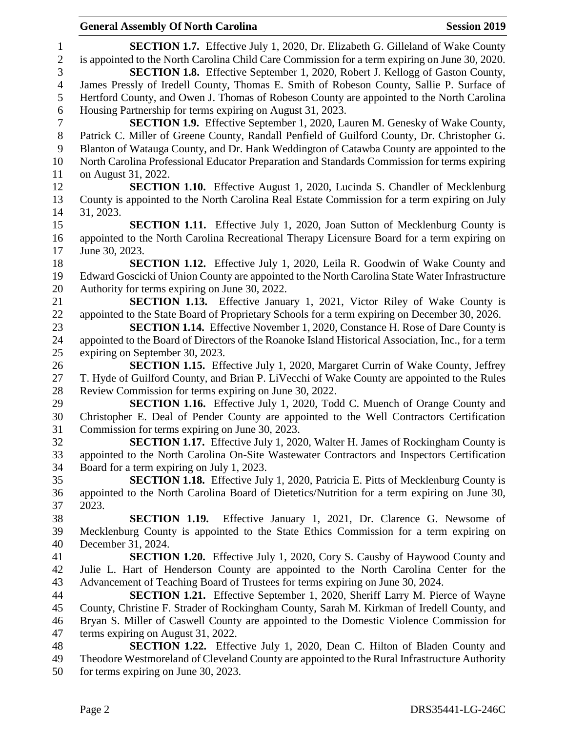**SECTION 1.7.** Effective July 1, 2020, Dr. Elizabeth G. Gilleland of Wake County is appointed to the North Carolina Child Care Commission for a term expiring on June 30, 2020. **SECTION 1.8.** Effective September 1, 2020, Robert J. Kellogg of Gaston County, James Pressly of Iredell County, Thomas E. Smith of Robeson County, Sallie P. Surface of Hertford County, and Owen J. Thomas of Robeson County are appointed to the North Carolina Housing Partnership for terms expiring on August 31, 2023. **SECTION 1.9.** Effective September 1, 2020, Lauren M. Genesky of Wake County, Patrick C. Miller of Greene County, Randall Penfield of Guilford County, Dr. Christopher G. Blanton of Watauga County, and Dr. Hank Weddington of Catawba County are appointed to the North Carolina Professional Educator Preparation and Standards Commission for terms expiring on August 31, 2022. **SECTION 1.10.** Effective August 1, 2020, Lucinda S. Chandler of Mecklenburg County is appointed to the North Carolina Real Estate Commission for a term expiring on July 31, 2023. **SECTION 1.11.** Effective July 1, 2020, Joan Sutton of Mecklenburg County is appointed to the North Carolina Recreational Therapy Licensure Board for a term expiring on June 30, 2023. **SECTION 1.12.** Effective July 1, 2020, Leila R. Goodwin of Wake County and Edward Goscicki of Union County are appointed to the North Carolina State Water Infrastructure Authority for terms expiring on June 30, 2022. **SECTION 1.13.** Effective January 1, 2021, Victor Riley of Wake County is appointed to the State Board of Proprietary Schools for a term expiring on December 30, 2026. **SECTION 1.14.** Effective November 1, 2020, Constance H. Rose of Dare County is appointed to the Board of Directors of the Roanoke Island Historical Association, Inc., for a term expiring on September 30, 2023. **SECTION 1.15.** Effective July 1, 2020, Margaret Currin of Wake County, Jeffrey T. Hyde of Guilford County, and Brian P. LiVecchi of Wake County are appointed to the Rules Review Commission for terms expiring on June 30, 2022. **SECTION 1.16.** Effective July 1, 2020, Todd C. Muench of Orange County and Christopher E. Deal of Pender County are appointed to the Well Contractors Certification Commission for terms expiring on June 30, 2023. **SECTION 1.17.** Effective July 1, 2020, Walter H. James of Rockingham County is appointed to the North Carolina On-Site Wastewater Contractors and Inspectors Certification Board for a term expiring on July 1, 2023. **SECTION 1.18.** Effective July 1, 2020, Patricia E. Pitts of Mecklenburg County is appointed to the North Carolina Board of Dietetics/Nutrition for a term expiring on June 30, 2023. **SECTION 1.19.** Effective January 1, 2021, Dr. Clarence G. Newsome of Mecklenburg County is appointed to the State Ethics Commission for a term expiring on December 31, 2024. **SECTION 1.20.** Effective July 1, 2020, Cory S. Causby of Haywood County and Julie L. Hart of Henderson County are appointed to the North Carolina Center for the Advancement of Teaching Board of Trustees for terms expiring on June 30, 2024. **SECTION 1.21.** Effective September 1, 2020, Sheriff Larry M. Pierce of Wayne County, Christine F. Strader of Rockingham County, Sarah M. Kirkman of Iredell County, and Bryan S. Miller of Caswell County are appointed to the Domestic Violence Commission for terms expiring on August 31, 2022. **SECTION 1.22.** Effective July 1, 2020, Dean C. Hilton of Bladen County and Theodore Westmoreland of Cleveland County are appointed to the Rural Infrastructure Authority

for terms expiring on June 30, 2023.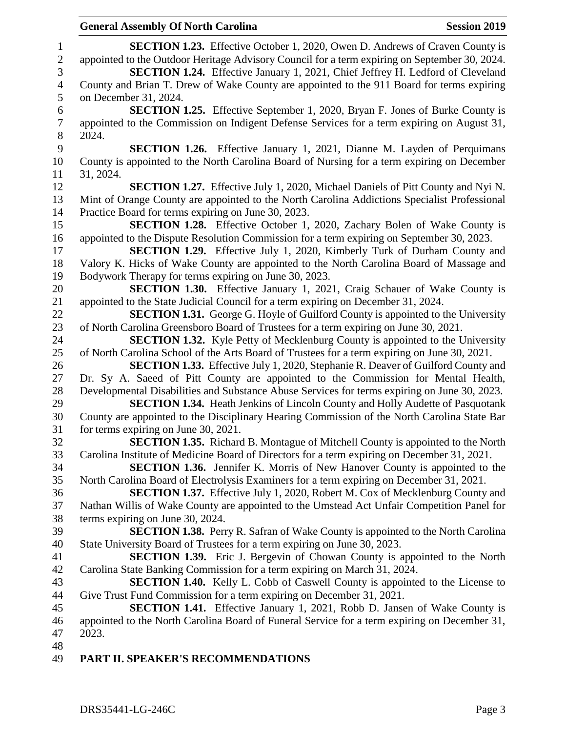**SECTION 1.23.** Effective October 1, 2020, Owen D. Andrews of Craven County is appointed to the Outdoor Heritage Advisory Council for a term expiring on September 30, 2024. **SECTION 1.24.** Effective January 1, 2021, Chief Jeffrey H. Ledford of Cleveland County and Brian T. Drew of Wake County are appointed to the 911 Board for terms expiring on December 31, 2024. **SECTION 1.25.** Effective September 1, 2020, Bryan F. Jones of Burke County is appointed to the Commission on Indigent Defense Services for a term expiring on August 31, 2024. **SECTION 1.26.** Effective January 1, 2021, Dianne M. Layden of Perquimans County is appointed to the North Carolina Board of Nursing for a term expiring on December 31, 2024. **SECTION 1.27.** Effective July 1, 2020, Michael Daniels of Pitt County and Nyi N. Mint of Orange County are appointed to the North Carolina Addictions Specialist Professional Practice Board for terms expiring on June 30, 2023. **SECTION 1.28.** Effective October 1, 2020, Zachary Bolen of Wake County is appointed to the Dispute Resolution Commission for a term expiring on September 30, 2023. **SECTION 1.29.** Effective July 1, 2020, Kimberly Turk of Durham County and Valory K. Hicks of Wake County are appointed to the North Carolina Board of Massage and Bodywork Therapy for terms expiring on June 30, 2023. **SECTION 1.30.** Effective January 1, 2021, Craig Schauer of Wake County is appointed to the State Judicial Council for a term expiring on December 31, 2024. **SECTION 1.31.** George G. Hoyle of Guilford County is appointed to the University of North Carolina Greensboro Board of Trustees for a term expiring on June 30, 2021. **SECTION 1.32.** Kyle Petty of Mecklenburg County is appointed to the University of North Carolina School of the Arts Board of Trustees for a term expiring on June 30, 2021. **SECTION 1.33.** Effective July 1, 2020, Stephanie R. Deaver of Guilford County and Dr. Sy A. Saeed of Pitt County are appointed to the Commission for Mental Health, Developmental Disabilities and Substance Abuse Services for terms expiring on June 30, 2023. **SECTION 1.34.** Heath Jenkins of Lincoln County and Holly Audette of Pasquotank County are appointed to the Disciplinary Hearing Commission of the North Carolina State Bar for terms expiring on June 30, 2021. **SECTION 1.35.** Richard B. Montague of Mitchell County is appointed to the North Carolina Institute of Medicine Board of Directors for a term expiring on December 31, 2021. **SECTION 1.36.** Jennifer K. Morris of New Hanover County is appointed to the North Carolina Board of Electrolysis Examiners for a term expiring on December 31, 2021. **SECTION 1.37.** Effective July 1, 2020, Robert M. Cox of Mecklenburg County and Nathan Willis of Wake County are appointed to the Umstead Act Unfair Competition Panel for terms expiring on June 30, 2024. **SECTION 1.38.** Perry R. Safran of Wake County is appointed to the North Carolina State University Board of Trustees for a term expiring on June 30, 2023. **SECTION 1.39.** Eric J. Bergevin of Chowan County is appointed to the North Carolina State Banking Commission for a term expiring on March 31, 2024. **SECTION 1.40.** Kelly L. Cobb of Caswell County is appointed to the License to Give Trust Fund Commission for a term expiring on December 31, 2021. **SECTION 1.41.** Effective January 1, 2021, Robb D. Jansen of Wake County is appointed to the North Carolina Board of Funeral Service for a term expiring on December 31, 2023. 

## **PART II. SPEAKER'S RECOMMENDATIONS**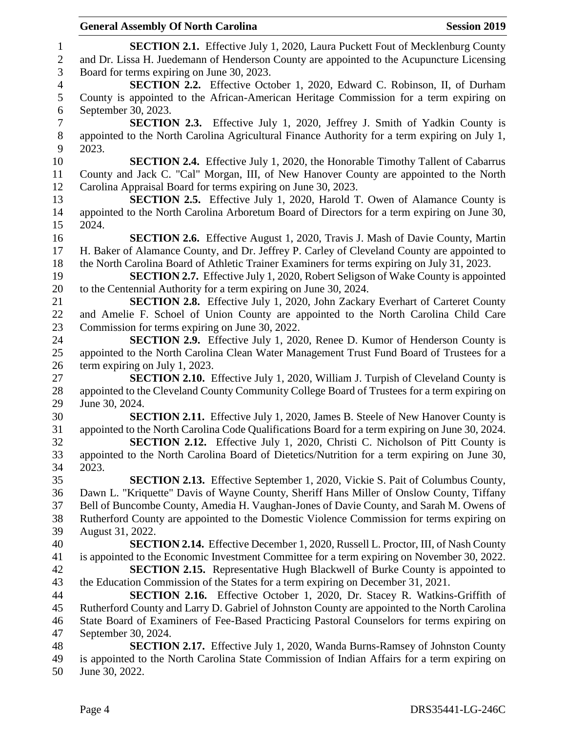## **SECTION 2.1.** Effective July 1, 2020, Laura Puckett Fout of Mecklenburg County and Dr. Lissa H. Juedemann of Henderson County are appointed to the Acupuncture Licensing Board for terms expiring on June 30, 2023. **SECTION 2.2.** Effective October 1, 2020, Edward C. Robinson, II, of Durham County is appointed to the African-American Heritage Commission for a term expiring on September 30, 2023. **SECTION 2.3.** Effective July 1, 2020, Jeffrey J. Smith of Yadkin County is appointed to the North Carolina Agricultural Finance Authority for a term expiring on July 1, 2023. **SECTION 2.4.** Effective July 1, 2020, the Honorable Timothy Tallent of Cabarrus County and Jack C. "Cal" Morgan, III, of New Hanover County are appointed to the North Carolina Appraisal Board for terms expiring on June 30, 2023. **SECTION 2.5.** Effective July 1, 2020, Harold T. Owen of Alamance County is appointed to the North Carolina Arboretum Board of Directors for a term expiring on June 30, 2024. **SECTION 2.6.** Effective August 1, 2020, Travis J. Mash of Davie County, Martin H. Baker of Alamance County, and Dr. Jeffrey P. Carley of Cleveland County are appointed to the North Carolina Board of Athletic Trainer Examiners for terms expiring on July 31, 2023. **SECTION 2.7.** Effective July 1, 2020, Robert Seligson of Wake County is appointed to the Centennial Authority for a term expiring on June 30, 2024. **SECTION 2.8.** Effective July 1, 2020, John Zackary Everhart of Carteret County and Amelie F. Schoel of Union County are appointed to the North Carolina Child Care Commission for terms expiring on June 30, 2022. **SECTION 2.9.** Effective July 1, 2020, Renee D. Kumor of Henderson County is appointed to the North Carolina Clean Water Management Trust Fund Board of Trustees for a term expiring on July 1, 2023. **SECTION 2.10.** Effective July 1, 2020, William J. Turpish of Cleveland County is appointed to the Cleveland County Community College Board of Trustees for a term expiring on June 30, 2024. **SECTION 2.11.** Effective July 1, 2020, James B. Steele of New Hanover County is appointed to the North Carolina Code Qualifications Board for a term expiring on June 30, 2024. **SECTION 2.12.** Effective July 1, 2020, Christi C. Nicholson of Pitt County is appointed to the North Carolina Board of Dietetics/Nutrition for a term expiring on June 30, 2023. **SECTION 2.13.** Effective September 1, 2020, Vickie S. Pait of Columbus County, Dawn L. "Kriquette" Davis of Wayne County, Sheriff Hans Miller of Onslow County, Tiffany Bell of Buncombe County, Amedia H. Vaughan-Jones of Davie County, and Sarah M. Owens of Rutherford County are appointed to the Domestic Violence Commission for terms expiring on August 31, 2022. **SECTION 2.14.** Effective December 1, 2020, Russell L. Proctor, III, of Nash County is appointed to the Economic Investment Committee for a term expiring on November 30, 2022. **SECTION 2.15.** Representative Hugh Blackwell of Burke County is appointed to the Education Commission of the States for a term expiring on December 31, 2021. **SECTION 2.16.** Effective October 1, 2020, Dr. Stacey R. Watkins-Griffith of Rutherford County and Larry D. Gabriel of Johnston County are appointed to the North Carolina State Board of Examiners of Fee-Based Practicing Pastoral Counselors for terms expiring on September 30, 2024. **SECTION 2.17.** Effective July 1, 2020, Wanda Burns-Ramsey of Johnston County is appointed to the North Carolina State Commission of Indian Affairs for a term expiring on June 30, 2022.

**General Assembly Of North Carolina Session 2019 Session 2019**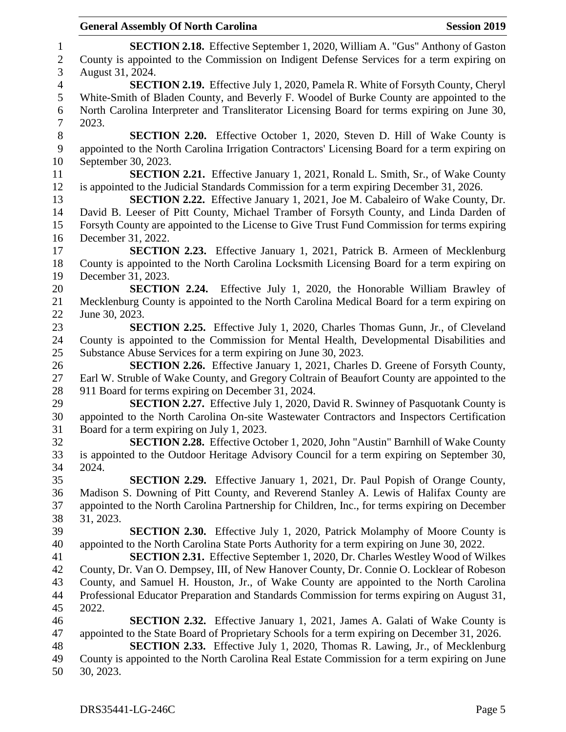**SECTION 2.18.** Effective September 1, 2020, William A. "Gus" Anthony of Gaston County is appointed to the Commission on Indigent Defense Services for a term expiring on August 31, 2024. **SECTION 2.19.** Effective July 1, 2020, Pamela R. White of Forsyth County, Cheryl White-Smith of Bladen County, and Beverly F. Woodel of Burke County are appointed to the North Carolina Interpreter and Transliterator Licensing Board for terms expiring on June 30, 2023. **SECTION 2.20.** Effective October 1, 2020, Steven D. Hill of Wake County is appointed to the North Carolina Irrigation Contractors' Licensing Board for a term expiring on September 30, 2023. **SECTION 2.21.** Effective January 1, 2021, Ronald L. Smith, Sr., of Wake County is appointed to the Judicial Standards Commission for a term expiring December 31, 2026. **SECTION 2.22.** Effective January 1, 2021, Joe M. Cabaleiro of Wake County, Dr. David B. Leeser of Pitt County, Michael Tramber of Forsyth County, and Linda Darden of Forsyth County are appointed to the License to Give Trust Fund Commission for terms expiring December 31, 2022. **SECTION 2.23.** Effective January 1, 2021, Patrick B. Armeen of Mecklenburg County is appointed to the North Carolina Locksmith Licensing Board for a term expiring on December 31, 2023. **SECTION 2.24.** Effective July 1, 2020, the Honorable William Brawley of Mecklenburg County is appointed to the North Carolina Medical Board for a term expiring on June 30, 2023. **SECTION 2.25.** Effective July 1, 2020, Charles Thomas Gunn, Jr., of Cleveland County is appointed to the Commission for Mental Health, Developmental Disabilities and Substance Abuse Services for a term expiring on June 30, 2023. **SECTION 2.26.** Effective January 1, 2021, Charles D. Greene of Forsyth County, Earl W. Struble of Wake County, and Gregory Coltrain of Beaufort County are appointed to the 911 Board for terms expiring on December 31, 2024. **SECTION 2.27.** Effective July 1, 2020, David R. Swinney of Pasquotank County is appointed to the North Carolina On-site Wastewater Contractors and Inspectors Certification Board for a term expiring on July 1, 2023. **SECTION 2.28.** Effective October 1, 2020, John "Austin" Barnhill of Wake County is appointed to the Outdoor Heritage Advisory Council for a term expiring on September 30, 2024. **SECTION 2.29.** Effective January 1, 2021, Dr. Paul Popish of Orange County, Madison S. Downing of Pitt County, and Reverend Stanley A. Lewis of Halifax County are appointed to the North Carolina Partnership for Children, Inc., for terms expiring on December 31, 2023. **SECTION 2.30.** Effective July 1, 2020, Patrick Molamphy of Moore County is appointed to the North Carolina State Ports Authority for a term expiring on June 30, 2022. **SECTION 2.31.** Effective September 1, 2020, Dr. Charles Westley Wood of Wilkes County, Dr. Van O. Dempsey, III, of New Hanover County, Dr. Connie O. Locklear of Robeson County, and Samuel H. Houston, Jr., of Wake County are appointed to the North Carolina Professional Educator Preparation and Standards Commission for terms expiring on August 31, 2022. **SECTION 2.32.** Effective January 1, 2021, James A. Galati of Wake County is appointed to the State Board of Proprietary Schools for a term expiring on December 31, 2026. **SECTION 2.33.** Effective July 1, 2020, Thomas R. Lawing, Jr., of Mecklenburg County is appointed to the North Carolina Real Estate Commission for a term expiring on June 30, 2023.